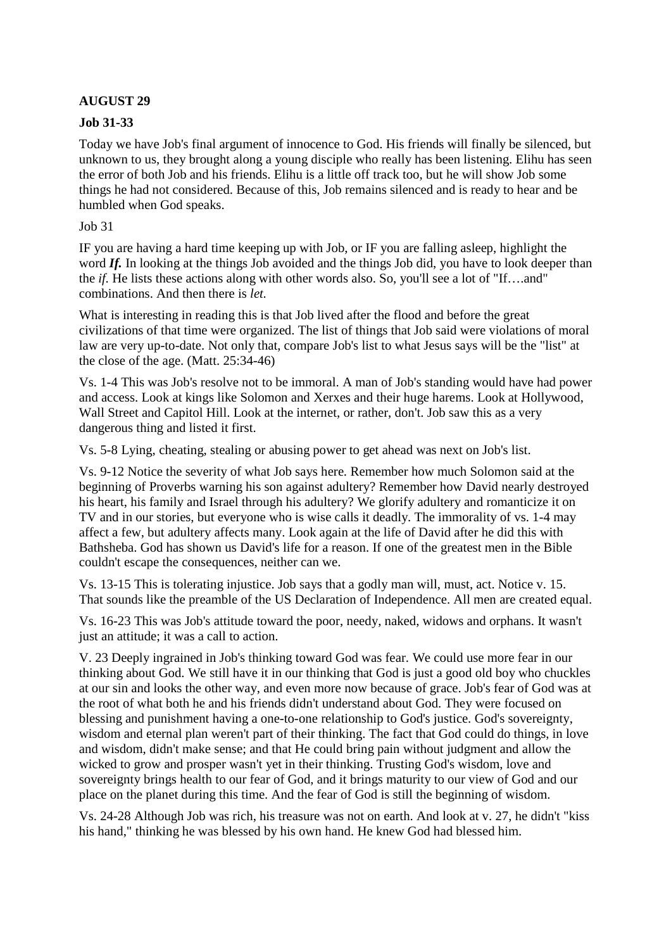## **AUGUST 29**

## **Job 31-33**

Today we have Job's final argument of innocence to God. His friends will finally be silenced, but unknown to us, they brought along a young disciple who really has been listening. Elihu has seen the error of both Job and his friends. Elihu is a little off track too, but he will show Job some things he had not considered. Because of this, Job remains silenced and is ready to hear and be humbled when God speaks.

Job 31

IF you are having a hard time keeping up with Job, or IF you are falling asleep, highlight the word *If.* In looking at the things Job avoided and the things Job did, you have to look deeper than the *if.* He lists these actions along with other words also. So, you'll see a lot of "If….and" combinations. And then there is *let.*

What is interesting in reading this is that Job lived after the flood and before the great civilizations of that time were organized. The list of things that Job said were violations of moral law are very up-to-date. Not only that, compare Job's list to what Jesus says will be the "list" at the close of the age. (Matt. 25:34-46)

Vs. 1-4 This was Job's resolve not to be immoral. A man of Job's standing would have had power and access. Look at kings like Solomon and Xerxes and their huge harems. Look at Hollywood, Wall Street and Capitol Hill. Look at the internet, or rather, don't. Job saw this as a very dangerous thing and listed it first.

Vs. 5-8 Lying, cheating, stealing or abusing power to get ahead was next on Job's list.

Vs. 9-12 Notice the severity of what Job says here. Remember how much Solomon said at the beginning of Proverbs warning his son against adultery? Remember how David nearly destroyed his heart, his family and Israel through his adultery? We glorify adultery and romanticize it on TV and in our stories, but everyone who is wise calls it deadly. The immorality of vs. 1-4 may affect a few, but adultery affects many. Look again at the life of David after he did this with Bathsheba. God has shown us David's life for a reason. If one of the greatest men in the Bible couldn't escape the consequences, neither can we.

Vs. 13-15 This is tolerating injustice. Job says that a godly man will, must, act. Notice v. 15. That sounds like the preamble of the US Declaration of Independence. All men are created equal.

Vs. 16-23 This was Job's attitude toward the poor, needy, naked, widows and orphans. It wasn't just an attitude; it was a call to action.

V. 23 Deeply ingrained in Job's thinking toward God was fear. We could use more fear in our thinking about God. We still have it in our thinking that God is just a good old boy who chuckles at our sin and looks the other way, and even more now because of grace. Job's fear of God was at the root of what both he and his friends didn't understand about God. They were focused on blessing and punishment having a one-to-one relationship to God's justice. God's sovereignty, wisdom and eternal plan weren't part of their thinking. The fact that God could do things, in love and wisdom, didn't make sense; and that He could bring pain without judgment and allow the wicked to grow and prosper wasn't yet in their thinking. Trusting God's wisdom, love and sovereignty brings health to our fear of God, and it brings maturity to our view of God and our place on the planet during this time. And the fear of God is still the beginning of wisdom.

Vs. 24-28 Although Job was rich, his treasure was not on earth. And look at v. 27, he didn't "kiss his hand," thinking he was blessed by his own hand. He knew God had blessed him.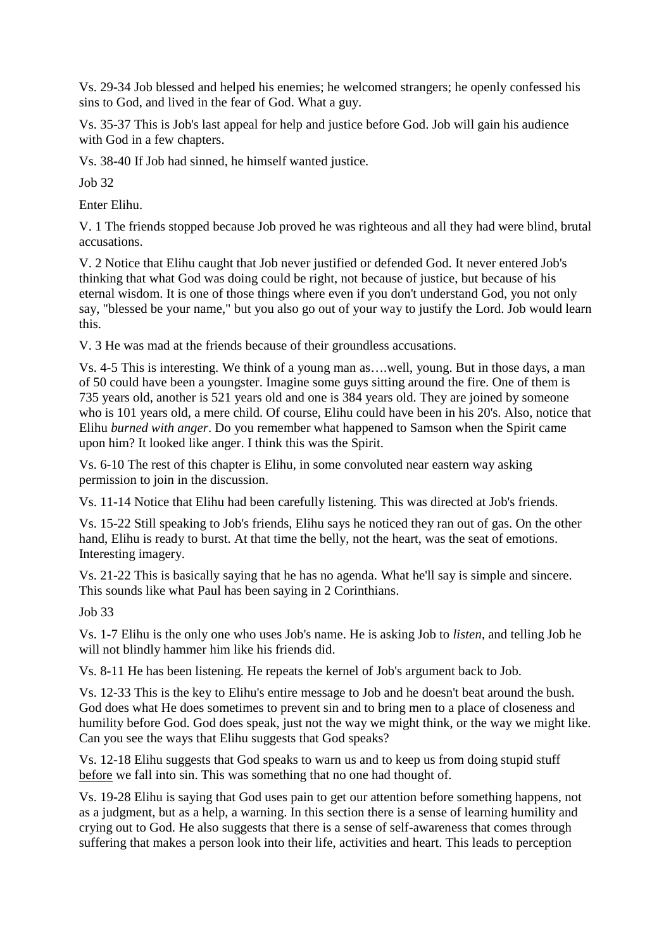Vs. 29-34 Job blessed and helped his enemies; he welcomed strangers; he openly confessed his sins to God, and lived in the fear of God. What a guy.

Vs. 35-37 This is Job's last appeal for help and justice before God. Job will gain his audience with God in a few chapters.

Vs. 38-40 If Job had sinned, he himself wanted justice.

Job 32

Enter Elihu.

V. 1 The friends stopped because Job proved he was righteous and all they had were blind, brutal accusations.

V. 2 Notice that Elihu caught that Job never justified or defended God. It never entered Job's thinking that what God was doing could be right, not because of justice, but because of his eternal wisdom. It is one of those things where even if you don't understand God, you not only say, "blessed be your name," but you also go out of your way to justify the Lord. Job would learn this.

V. 3 He was mad at the friends because of their groundless accusations.

Vs. 4-5 This is interesting. We think of a young man as….well, young. But in those days, a man of 50 could have been a youngster. Imagine some guys sitting around the fire. One of them is 735 years old, another is 521 years old and one is 384 years old. They are joined by someone who is 101 years old, a mere child. Of course, Elihu could have been in his 20's. Also, notice that Elihu *burned with anger*. Do you remember what happened to Samson when the Spirit came upon him? It looked like anger. I think this was the Spirit.

Vs. 6-10 The rest of this chapter is Elihu, in some convoluted near eastern way asking permission to join in the discussion.

Vs. 11-14 Notice that Elihu had been carefully listening. This was directed at Job's friends.

Vs. 15-22 Still speaking to Job's friends, Elihu says he noticed they ran out of gas. On the other hand, Elihu is ready to burst. At that time the belly, not the heart, was the seat of emotions. Interesting imagery.

Vs. 21-22 This is basically saying that he has no agenda. What he'll say is simple and sincere. This sounds like what Paul has been saying in 2 Corinthians.

Job 33

Vs. 1-7 Elihu is the only one who uses Job's name. He is asking Job to *listen*, and telling Job he will not blindly hammer him like his friends did.

Vs. 8-11 He has been listening. He repeats the kernel of Job's argument back to Job.

Vs. 12-33 This is the key to Elihu's entire message to Job and he doesn't beat around the bush. God does what He does sometimes to prevent sin and to bring men to a place of closeness and humility before God. God does speak, just not the way we might think, or the way we might like. Can you see the ways that Elihu suggests that God speaks?

Vs. 12-18 Elihu suggests that God speaks to warn us and to keep us from doing stupid stuff before we fall into sin. This was something that no one had thought of.

Vs. 19-28 Elihu is saying that God uses pain to get our attention before something happens, not as a judgment, but as a help, a warning. In this section there is a sense of learning humility and crying out to God. He also suggests that there is a sense of self-awareness that comes through suffering that makes a person look into their life, activities and heart. This leads to perception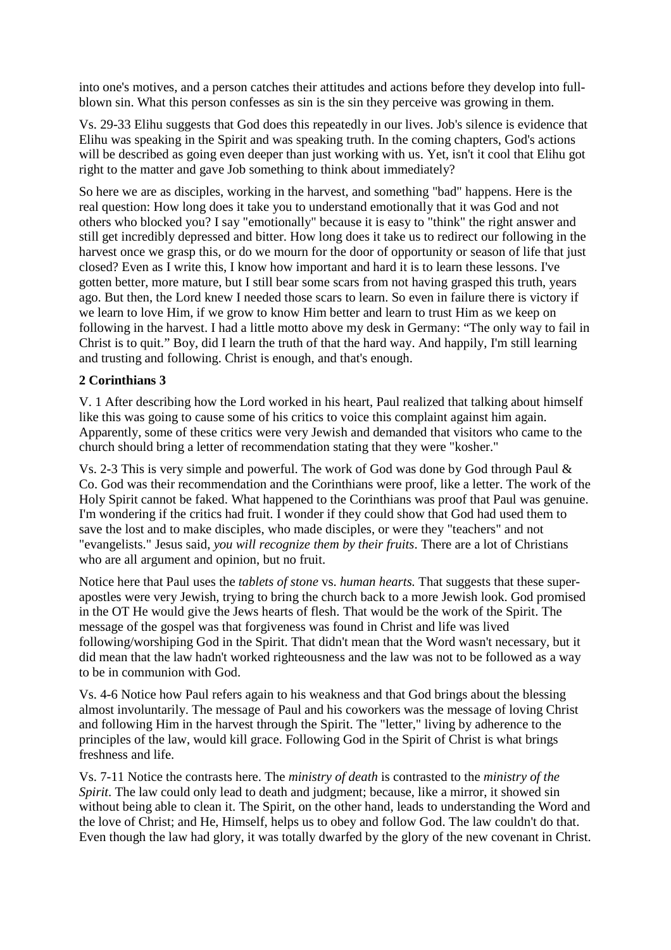into one's motives, and a person catches their attitudes and actions before they develop into fullblown sin. What this person confesses as sin is the sin they perceive was growing in them.

Vs. 29-33 Elihu suggests that God does this repeatedly in our lives. Job's silence is evidence that Elihu was speaking in the Spirit and was speaking truth. In the coming chapters, God's actions will be described as going even deeper than just working with us. Yet, isn't it cool that Elihu got right to the matter and gave Job something to think about immediately?

So here we are as disciples, working in the harvest, and something "bad" happens. Here is the real question: How long does it take you to understand emotionally that it was God and not others who blocked you? I say "emotionally" because it is easy to "think" the right answer and still get incredibly depressed and bitter. How long does it take us to redirect our following in the harvest once we grasp this, or do we mourn for the door of opportunity or season of life that just closed? Even as I write this, I know how important and hard it is to learn these lessons. I've gotten better, more mature, but I still bear some scars from not having grasped this truth, years ago. But then, the Lord knew I needed those scars to learn. So even in failure there is victory if we learn to love Him, if we grow to know Him better and learn to trust Him as we keep on following in the harvest. I had a little motto above my desk in Germany: "The only way to fail in Christ is to quit." Boy, did I learn the truth of that the hard way. And happily, I'm still learning and trusting and following. Christ is enough, and that's enough.

## **2 Corinthians 3**

V. 1 After describing how the Lord worked in his heart, Paul realized that talking about himself like this was going to cause some of his critics to voice this complaint against him again. Apparently, some of these critics were very Jewish and demanded that visitors who came to the church should bring a letter of recommendation stating that they were "kosher."

Vs. 2-3 This is very simple and powerful. The work of God was done by God through Paul & Co. God was their recommendation and the Corinthians were proof, like a letter. The work of the Holy Spirit cannot be faked. What happened to the Corinthians was proof that Paul was genuine. I'm wondering if the critics had fruit. I wonder if they could show that God had used them to save the lost and to make disciples, who made disciples, or were they "teachers" and not "evangelists." Jesus said, *you will recognize them by their fruits*. There are a lot of Christians who are all argument and opinion, but no fruit.

Notice here that Paul uses the *tablets of stone* vs. *human hearts.* That suggests that these superapostles were very Jewish, trying to bring the church back to a more Jewish look. God promised in the OT He would give the Jews hearts of flesh. That would be the work of the Spirit. The message of the gospel was that forgiveness was found in Christ and life was lived following/worshiping God in the Spirit. That didn't mean that the Word wasn't necessary, but it did mean that the law hadn't worked righteousness and the law was not to be followed as a way to be in communion with God.

Vs. 4-6 Notice how Paul refers again to his weakness and that God brings about the blessing almost involuntarily. The message of Paul and his coworkers was the message of loving Christ and following Him in the harvest through the Spirit. The "letter," living by adherence to the principles of the law, would kill grace. Following God in the Spirit of Christ is what brings freshness and life.

Vs. 7-11 Notice the contrasts here. The *ministry of death* is contrasted to the *ministry of the Spirit*. The law could only lead to death and judgment; because, like a mirror, it showed sin without being able to clean it. The Spirit, on the other hand, leads to understanding the Word and the love of Christ; and He, Himself, helps us to obey and follow God. The law couldn't do that. Even though the law had glory, it was totally dwarfed by the glory of the new covenant in Christ.